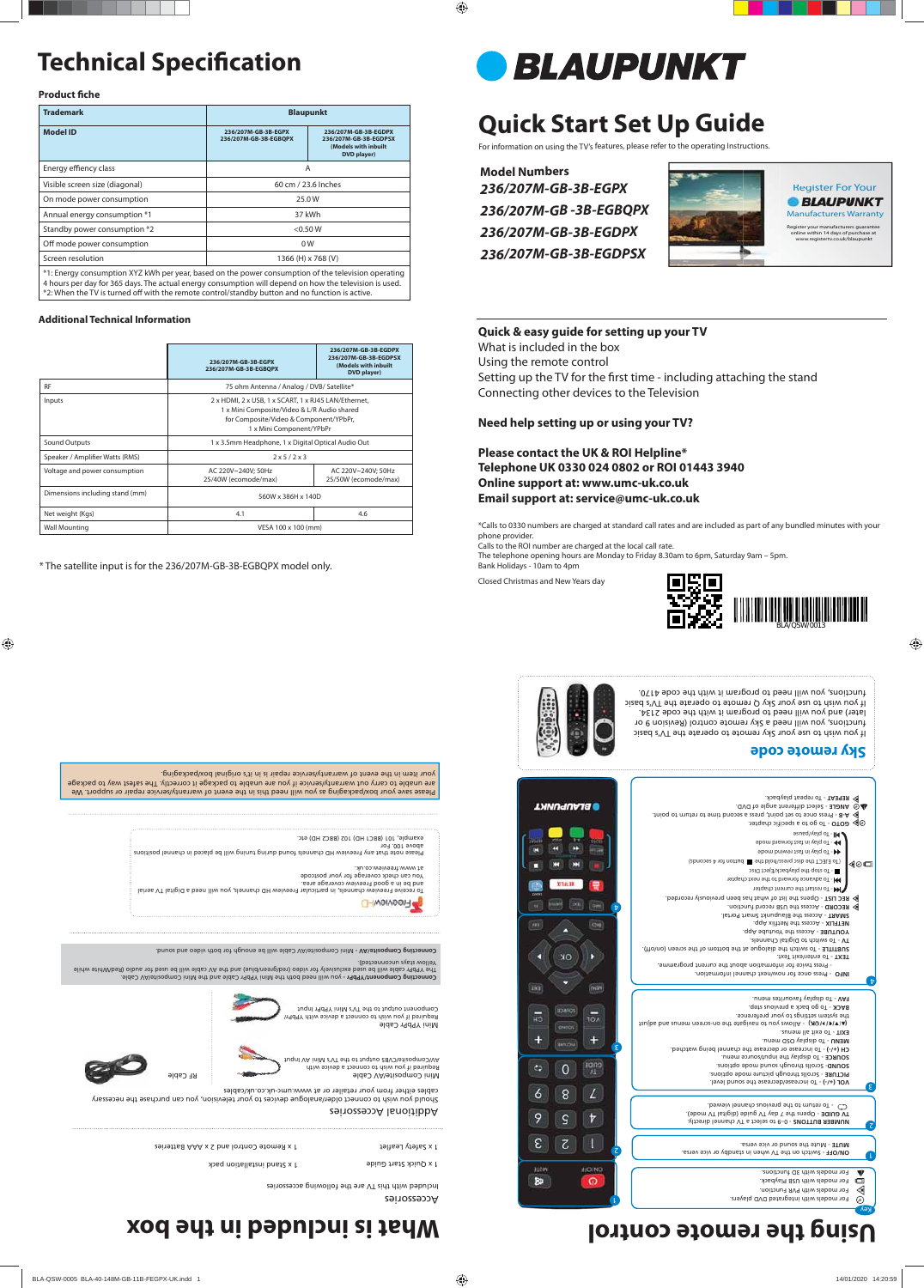# **Technical Specification**

## **Product fiche**

# **Quick Start Set Up Guide**

For information on using the TV's features, please refer to the operating Instructions.

**Model Numbers** *236/207M-GB-3B-EGPX 236/207M-GB -3B-EGBQPX 236/207M-GB-3B-EGDPX 236/207M-GB-3B-EGDPSX*



1 x Quick Start Guide

1 x Remote Control and 2 x AAA Batteries

1 x Stand installation pack

Additional Accessories

Connecting Component/104YPbr - you will need both the Mini YPbPr Cable and the Mini Composite/AV Cable. The YPbPr cable will be used exclusively for video (red/green/blue) and the AV cable will be used for audio (Red/White while

Yellow stays unconnected). Comnecting Composite/AV - Mini Composite/AV Cable will be enough for both video and sound.

Should you wish to connect older/analogue devices to your television, you can purchase the necessary cables either from your retailer or at www.umc-uk.co.uk/cables

Mini Composite/AV Cable Required if you wish to connect a device with AV/Composite/CVBS output to the TV's Mini AV Input

Mini YPbPr Cable Required if you wish to connect a device with YPbPr/ Component output to the TV's Mini YPbPr Input

RF Cable



## **Sky remote code**



If you wish to use your Sky remote to operate the TV's basic functions, you will need a Sky remote control (Revision 9 or later) and you will need to program it with the code 2134. If you wish to use your Sky Q remote to operate the TV's basic functions, you will need to program it with the code 4170.



Setting up the TV for the first time - including attaching the stand Connecting other devices to the Television

| <b>Trademark</b>                                                                                                                                                                                              | <b>Blaupunkt</b>                             |                                                                                      |  |  |
|---------------------------------------------------------------------------------------------------------------------------------------------------------------------------------------------------------------|----------------------------------------------|--------------------------------------------------------------------------------------|--|--|
| <b>Model ID</b>                                                                                                                                                                                               | 236/207M-GB-3B-EGPX<br>236/207M-GB-3B-EGBQPX | 236/207M-GB-3B-EGDPX<br>236/207M-GB-3B-EGDPSX<br>(Models with inbuilt<br>DVD player) |  |  |
| Energy effiency class                                                                                                                                                                                         |                                              | A                                                                                    |  |  |
| Visible screen size (diagonal)                                                                                                                                                                                |                                              | 60 cm / 23.6 Inches                                                                  |  |  |
| On mode power consumption                                                                                                                                                                                     |                                              | 25.0 W                                                                               |  |  |
| Annual energy consumption *1                                                                                                                                                                                  |                                              | 37 kWh                                                                               |  |  |
| Standby power consumption *2                                                                                                                                                                                  |                                              | $<$ 0.50 W                                                                           |  |  |
| Off mode power consumption                                                                                                                                                                                    |                                              | 0 <sub>W</sub>                                                                       |  |  |
| Screen resolution                                                                                                                                                                                             |                                              | 1366 (H) x 768 (V)                                                                   |  |  |
| *1: Energy consumption XYZ kWh per year, based on the power consumption of the television operating<br>4 hours per day for 365 days. The actual energy consumption will depend on how the television is used. |                                              |                                                                                      |  |  |

\*2: When the TV is turned off with the remote control/standby button and no function is active.

 - Scrolls through picture mode options. **PICTURE** - Scrolls through sound mode options. **SOUND** - To display the input/source menu. **SOURCE** - To increase or decrease the channel being watched. **CH (+/-)** - To display OSD menu. **MENU** - To exit all menus. **EXIT** (\*IRI41M) - Allows you to navigate the on-screen meaning the trans

**Additional Technical Information**

the abarely serrings to bont breference. BACK - To go back a previous step. - To display favourites menu. **FAV**

- $\mathbb{R}$  **P-R** Rress once to set point, press a second time to return to point.
	-
	- c **o DOO** To go to a specific chapter.
	- To play/pause
	- To play in fast forward mode
	- To play in fast rewind mode (To EJECT the disc press/hold the button for 4 seconds) ◀◎□
		- To stop the playback/Eject Disc
		- To advance forward to the next chapter
	- $\gg$  REC LIST Opens the list of what has been previously recorded. **He - To restart the current chapter** 
		- Access the Blaupunkt Smart Portal. **SMART**   $\phi$  RECORD - Access the USB record function.
		-
		- Access the Youtube App. **YOUTUBE NETFLIX - Access the Netflix App.**
	- To switch to Digital Channels. **TV**
- To enter/exit Text. **TEXT** - To switch the dialogue at the bottom of the screen (on/off). **SUBTITLE**

|                                 | 236/207M-GB-3B-EGPX<br>236/207M-GB-3B-EGBOPX                                                                                                                              | 236/207M-GB-3B-EGDPX<br>236/207M-GB-3B-EGDPSX<br>(Models with inbuilt<br>DVD player) |  |
|---------------------------------|---------------------------------------------------------------------------------------------------------------------------------------------------------------------------|--------------------------------------------------------------------------------------|--|
| <b>RF</b>                       | 75 ohm Antenna / Analog / DVB/ Satellite*                                                                                                                                 |                                                                                      |  |
| Inputs                          | 2 x HDMI, 2 x USB, 1 x SCART, 1 x RJ45 LAN/Ethernet,<br>1 x Mini Composite/Video & L/R Audio shared<br>for Composite/Video & Component/YPbPr,<br>1 x Mini Component/YPbPr |                                                                                      |  |
| <b>Sound Outputs</b>            | 1 x 3.5mm Headphone, 1 x Digital Optical Audio Out                                                                                                                        |                                                                                      |  |
| Speaker / Amplifier Watts (RMS) | 2x5/2x3                                                                                                                                                                   |                                                                                      |  |
| Voltage and power consumption   | AC 220V~240V; 50Hz<br>25/40W (ecomode/max)                                                                                                                                | AC 220V~240V; 50Hz<br>25/50W (ecomode/max)                                           |  |
| Dimensions including stand (mm) | 560W x 386H x 140D                                                                                                                                                        |                                                                                      |  |
| Net weight (Kgs)                | 4.1                                                                                                                                                                       | 4.6                                                                                  |  |
| <b>Wall Mounting</b>            | VESA 100 x 100 (mm)                                                                                                                                                       |                                                                                      |  |

**ANGLE** - Select different angle of DVD. - To repeat playback. **REPEAT**

Register your manufacturers guarantee online within 14 days of purchase at www.registertv.co.uk/blaupunkt yister you<br>nline with<br>www.reg

\* The satellite input is for the 236/207M-GB-3B-EGBQPX model only.















Accessories

a Safety Leaflet

Included with this TV are the following accessories

## **Quick & easy guide for setting up your TV**

What is included in the box

Using the remote control

## **Need help setting up or using your TV?**

**Please contact the UK & ROI Helpline\* Telephone UK 0330 024 0802 or ROI 01443 3940 Online support at: www.umc-uk.co.uk Email support at: service@umc-uk.co.uk**

\*Calls to 0330 numbers are charged at standard call rates and are included as part of any bundled minutes with your phone provider.

Calls to the ROI number are charged at the local call rate. The telephone opening hours are Monday to Friday 8.30am to 6pm, Saturday 9am – 5pm. Bank Holidays - 10am to 4pm

Closed Christmas and New Years day

ANGLE

**BLAUPUNKT** 

 $^\mathrm{t}$ 

**TAAMa** 

# **Using the remote control compact is included in the box**



- Switch on the TV when in standby or vice versa. **ON/OFF**

- Mute the sound or vice versa. **MUTE** 

- 0–9 to select a TV channel directly. **NUMBER BUTTONS**

- Opens the 7 day TV guide (digital TV mode). **TV GUIDE**  CD - To return to the previous channel viewed. - To increase/decrease the sound level. **VOL (+/-)**

 - Press once for now/next channel information. **INFO**  - Press twice for information about the current programme.

Key

 $\odot$ 

8

 $\bm{\mathrm{b}}$ 

2

1

For models with integrated DVD players.

For models with PVR Function. For models with USB Playback. For models with 3D functions.

Register For Your Regis **BLAUPUNKT** Manufacturers Warranty Manufa